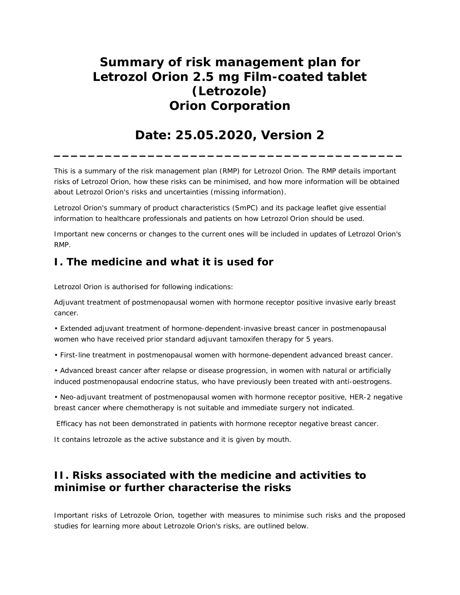# **Summary of risk management plan for Letrozol Orion 2.5 mg Film-coated tablet (Letrozole) Orion Corporation**

## **Date: 25.05.2020, Version 2 \_\_\_\_\_\_\_\_\_\_\_\_\_\_\_\_\_\_\_\_\_\_\_\_\_\_\_\_\_\_\_\_\_\_\_\_\_\_\_\_\_**

This is a summary of the risk management plan (RMP) for Letrozol Orion. The RMP details important risks of Letrozol Orion, how these risks can be minimised, and how more information will be obtained about Letrozol Orion's risks and uncertainties (missing information).

Letrozol Orion's summary of product characteristics (SmPC) and its package leaflet give essential information to healthcare professionals and patients on how Letrozol Orion should be used.

Important new concerns or changes to the current ones will be included in updates of Letrozol Orion's RMP.

## **I. The medicine and what it is used for**

Letrozol Orion is authorised for following indications:

Adjuvant treatment of postmenopausal women with hormone receptor positive invasive early breast cancer.

• Extended adjuvant treatment of hormone-dependent-invasive breast cancer in postmenopausal women who have received prior standard adjuvant tamoxifen therapy for 5 years.

• First-line treatment in postmenopausal women with hormone-dependent advanced breast cancer.

• Advanced breast cancer after relapse or disease progression, in women with natural or artificially induced postmenopausal endocrine status, who have previously been treated with anti-oestrogens.

• Neo-adjuvant treatment of postmenopausal women with hormone receptor positive, HER-2 negative breast cancer where chemotherapy is not suitable and immediate surgery not indicated.

Efficacy has not been demonstrated in patients with hormone receptor negative breast cancer.

It contains letrozole as the active substance and it is given by mouth.

## **II. Risks associated with the medicine and activities to minimise or further characterise the risks**

Important risks of Letrozole Orion, together with measures to minimise such risks and the proposed studies for learning more about Letrozole Orion's risks, are outlined below.